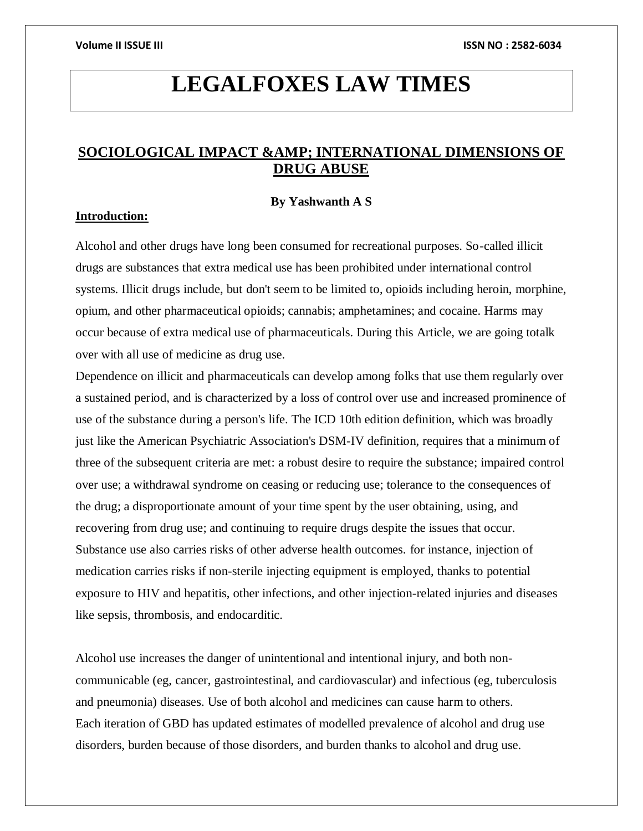# **LEGALFOXES LAW TIMES**

# **SOCIOLOGICAL IMPACT & AMP; INTERNATIONAL DIMENSIONS OF DRUG ABUSE**

# **By Yashwanth A S**

# **Introduction:**

Alcohol and other drugs have long been consumed for recreational purposes. So-called illicit drugs are substances that extra medical use has been prohibited under international control systems. Illicit drugs include, but don't seem to be limited to, opioids including heroin, morphine, opium, and other pharmaceutical opioids; cannabis; amphetamines; and cocaine. Harms may occur because of extra medical use of pharmaceuticals. During this Article, we are going totalk over with all use of medicine as drug use.

Dependence on illicit and pharmaceuticals can develop among folks that use them regularly over a sustained period, and is characterized by a loss of control over use and increased prominence of use of the substance during a person's life. The ICD 10th edition definition, which was broadly just like the American Psychiatric Association's DSM-IV definition, requires that a minimum of three of the subsequent criteria are met: a robust desire to require the substance; impaired control over use; a withdrawal syndrome on ceasing or reducing use; tolerance to the consequences of the drug; a disproportionate amount of your time spent by the user obtaining, using, and recovering from drug use; and continuing to require drugs despite the issues that occur. Substance use also carries risks of other adverse health outcomes. for instance, injection of medication carries risks if non-sterile injecting equipment is employed, thanks to potential exposure to HIV and hepatitis, other infections, and other injection-related injuries and diseases like sepsis, thrombosis, and endocarditic.

Alcohol use increases the danger of unintentional and intentional injury, and both noncommunicable (eg, cancer, gastrointestinal, and cardiovascular) and infectious (eg, tuberculosis and pneumonia) diseases. Use of both alcohol and medicines can cause harm to others. Each iteration of GBD has updated estimates of modelled prevalence of alcohol and drug use disorders, burden because of those disorders, and burden thanks to alcohol and drug use.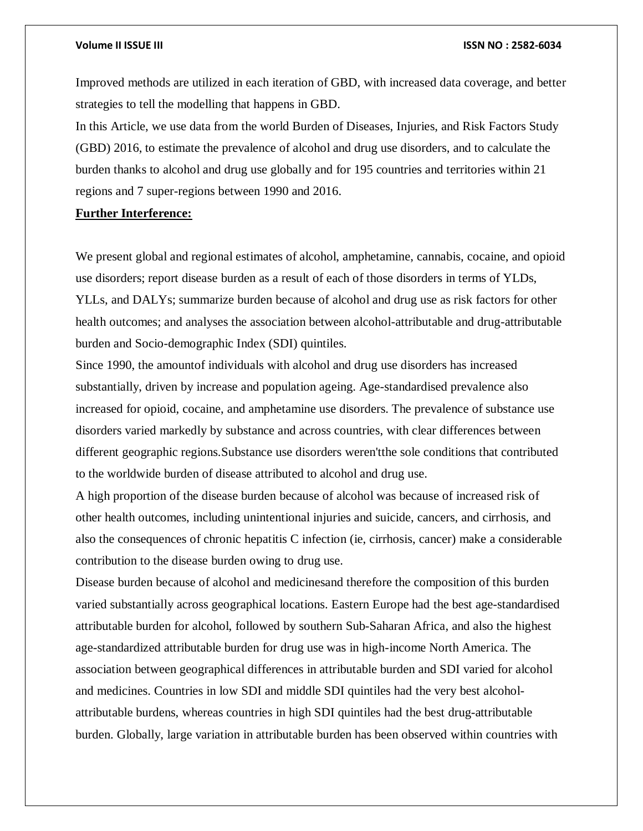Improved methods are utilized in each iteration of GBD, with increased data coverage, and better strategies to tell the modelling that happens in GBD.

In this Article, we use data from the world Burden of Diseases, Injuries, and Risk Factors Study (GBD) 2016, to estimate the prevalence of alcohol and drug use disorders, and to calculate the burden thanks to alcohol and drug use globally and for 195 countries and territories within 21 regions and 7 super-regions between 1990 and 2016.

# **Further Interference:**

We present global and regional estimates of alcohol, amphetamine, cannabis, cocaine, and opioid use disorders; report disease burden as a result of each of those disorders in terms of YLDs, YLLs, and DALYs; summarize burden because of alcohol and drug use as risk factors for other health outcomes; and analyses the association between alcohol-attributable and drug-attributable burden and Socio-demographic Index (SDI) quintiles.

Since 1990, the amountof individuals with alcohol and drug use disorders has increased substantially, driven by increase and population ageing. Age-standardised prevalence also increased for opioid, cocaine, and amphetamine use disorders. The prevalence of substance use disorders varied markedly by substance and across countries, with clear differences between different geographic regions.Substance use disorders weren'tthe sole conditions that contributed to the worldwide burden of disease attributed to alcohol and drug use.

A high proportion of the disease burden because of alcohol was because of increased risk of other health outcomes, including unintentional injuries and suicide, cancers, and cirrhosis, and also the consequences of chronic hepatitis C infection (ie, cirrhosis, cancer) make a considerable contribution to the disease burden owing to drug use.

Disease burden because of alcohol and medicinesand therefore the composition of this burden varied substantially across geographical locations. Eastern Europe had the best age-standardised attributable burden for alcohol, followed by southern Sub-Saharan Africa, and also the highest age-standardized attributable burden for drug use was in high-income North America. The association between geographical differences in attributable burden and SDI varied for alcohol and medicines. Countries in low SDI and middle SDI quintiles had the very best alcoholattributable burdens, whereas countries in high SDI quintiles had the best drug-attributable burden. Globally, large variation in attributable burden has been observed within countries with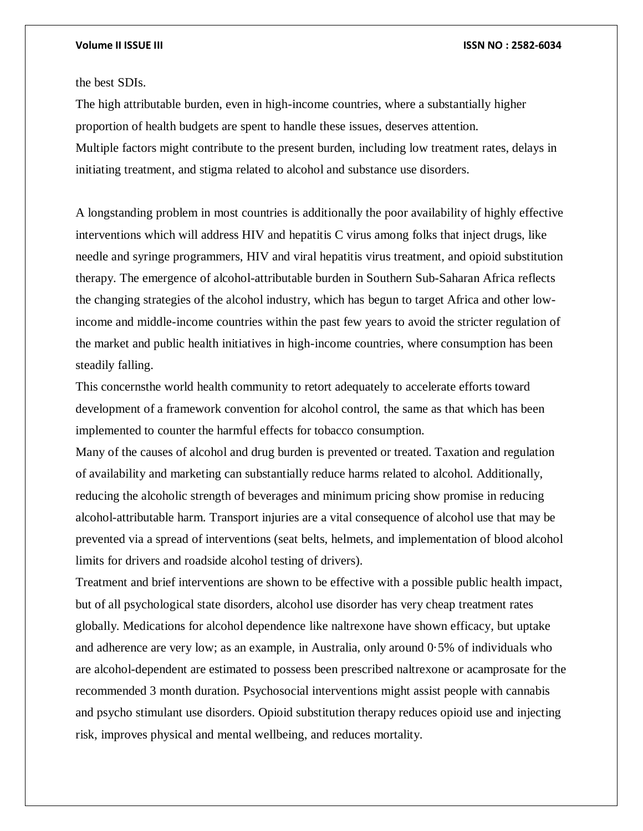# the best SDIs.

The high attributable burden, even in high-income countries, where a substantially higher proportion of health budgets are spent to handle these issues, deserves attention. Multiple factors might contribute to the present burden, including low treatment rates, delays in initiating treatment, and stigma related to alcohol and substance use disorders.

A longstanding problem in most countries is additionally the poor availability of highly effective interventions which will address HIV and hepatitis C virus among folks that inject drugs, like needle and syringe programmers, HIV and viral hepatitis virus treatment, and opioid substitution therapy. The emergence of alcohol-attributable burden in Southern Sub-Saharan Africa reflects the changing strategies of the alcohol industry, which has begun to target Africa and other lowincome and middle-income countries within the past few years to avoid the stricter regulation of the market and public health initiatives in high-income countries, where consumption has been steadily falling.

This concernsthe world health community to retort adequately to accelerate efforts toward development of a framework convention for alcohol control, the same as that which has been implemented to counter the harmful effects for tobacco consumption.

Many of the causes of alcohol and drug burden is prevented or treated. Taxation and regulation of availability and marketing can substantially reduce harms related to alcohol. Additionally, reducing the alcoholic strength of beverages and minimum pricing show promise in reducing alcohol-attributable harm. Transport injuries are a vital consequence of alcohol use that may be prevented via a spread of interventions (seat belts, helmets, and implementation of blood alcohol limits for drivers and roadside alcohol testing of drivers).

Treatment and brief interventions are shown to be effective with a possible public health impact, but of all psychological state disorders, alcohol use disorder has very cheap treatment rates globally. Medications for alcohol dependence like naltrexone have shown efficacy, but uptake and adherence are very low; as an example, in Australia, only around 0·5% of individuals who are alcohol-dependent are estimated to possess been prescribed naltrexone or acamprosate for the recommended 3 month duration. Psychosocial interventions might assist people with cannabis and psycho stimulant use disorders. Opioid substitution therapy reduces opioid use and injecting risk, improves physical and mental wellbeing, and reduces mortality.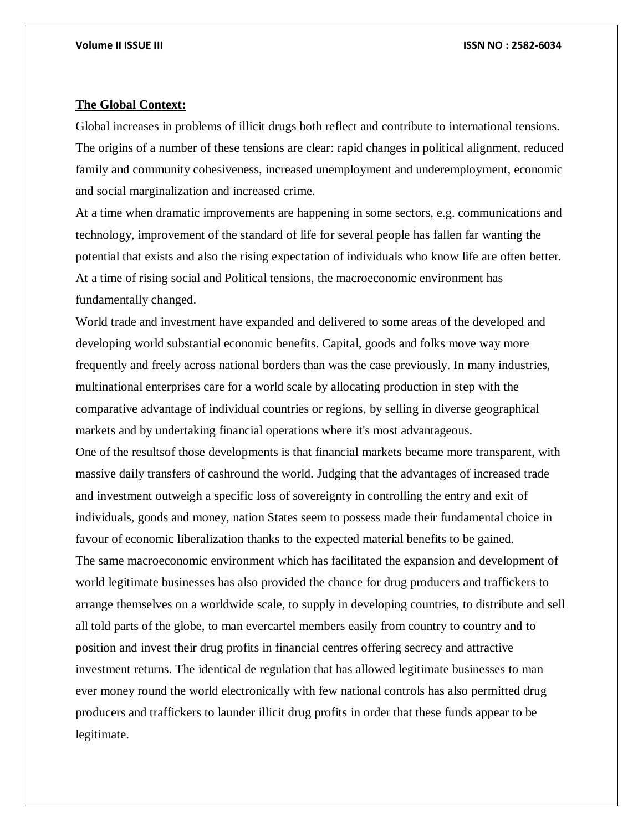### **The Global Context:**

Global increases in problems of illicit drugs both reflect and contribute to international tensions. The origins of a number of these tensions are clear: rapid changes in political alignment, reduced family and community cohesiveness, increased unemployment and underemployment, economic and social marginalization and increased crime.

At a time when dramatic improvements are happening in some sectors, e.g. communications and technology, improvement of the standard of life for several people has fallen far wanting the potential that exists and also the rising expectation of individuals who know life are often better. At a time of rising social and Political tensions, the macroeconomic environment has fundamentally changed.

World trade and investment have expanded and delivered to some areas of the developed and developing world substantial economic benefits. Capital, goods and folks move way more frequently and freely across national borders than was the case previously. In many industries, multinational enterprises care for a world scale by allocating production in step with the comparative advantage of individual countries or regions, by selling in diverse geographical markets and by undertaking financial operations where it's most advantageous. One of the resultsof those developments is that financial markets became more transparent, with massive daily transfers of cashround the world. Judging that the advantages of increased trade and investment outweigh a specific loss of sovereignty in controlling the entry and exit of individuals, goods and money, nation States seem to possess made their fundamental choice in favour of economic liberalization thanks to the expected material benefits to be gained. The same macroeconomic environment which has facilitated the expansion and development of world legitimate businesses has also provided the chance for drug producers and traffickers to arrange themselves on a worldwide scale, to supply in developing countries, to distribute and sell all told parts of the globe, to man evercartel members easily from country to country and to position and invest their drug profits in financial centres offering secrecy and attractive investment returns. The identical de regulation that has allowed legitimate businesses to man ever money round the world electronically with few national controls has also permitted drug producers and traffickers to launder illicit drug profits in order that these funds appear to be legitimate.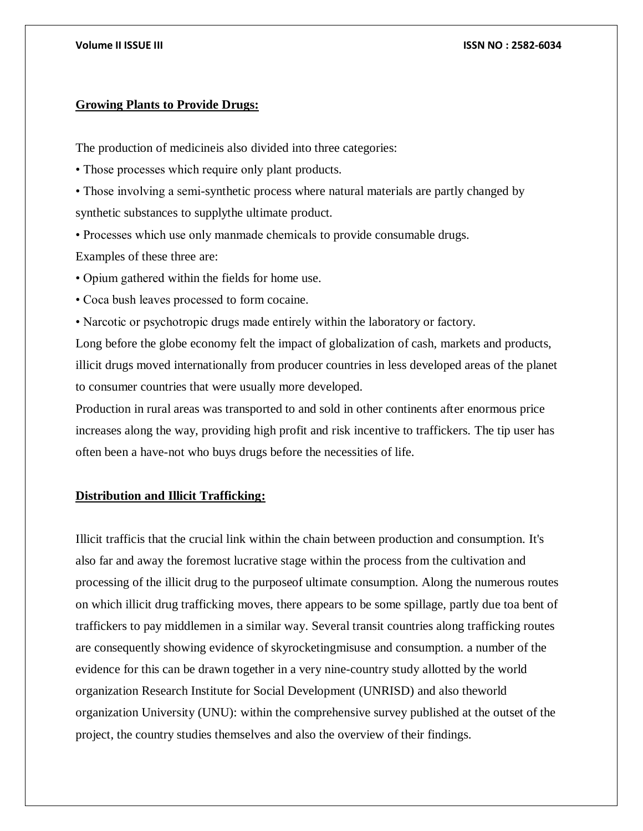# **Growing Plants to Provide Drugs:**

The production of medicineis also divided into three categories:

• Those processes which require only plant products.

• Those involving a semi-synthetic process where natural materials are partly changed by synthetic substances to supplythe ultimate product.

• Processes which use only manmade chemicals to provide consumable drugs. Examples of these three are:

• Opium gathered within the fields for home use.

• Coca bush leaves processed to form cocaine.

• Narcotic or psychotropic drugs made entirely within the laboratory or factory.

Long before the globe economy felt the impact of globalization of cash, markets and products, illicit drugs moved internationally from producer countries in less developed areas of the planet to consumer countries that were usually more developed.

Production in rural areas was transported to and sold in other continents after enormous price increases along the way, providing high profit and risk incentive to traffickers. The tip user has often been a have-not who buys drugs before the necessities of life.

# **Distribution and Illicit Trafficking:**

Illicit trafficis that the crucial link within the chain between production and consumption. It's also far and away the foremost lucrative stage within the process from the cultivation and processing of the illicit drug to the purposeof ultimate consumption. Along the numerous routes on which illicit drug trafficking moves, there appears to be some spillage, partly due toa bent of traffickers to pay middlemen in a similar way. Several transit countries along trafficking routes are consequently showing evidence of skyrocketingmisuse and consumption. a number of the evidence for this can be drawn together in a very nine-country study allotted by the world organization Research Institute for Social Development (UNRISD) and also theworld organization University (UNU): within the comprehensive survey published at the outset of the project, the country studies themselves and also the overview of their findings.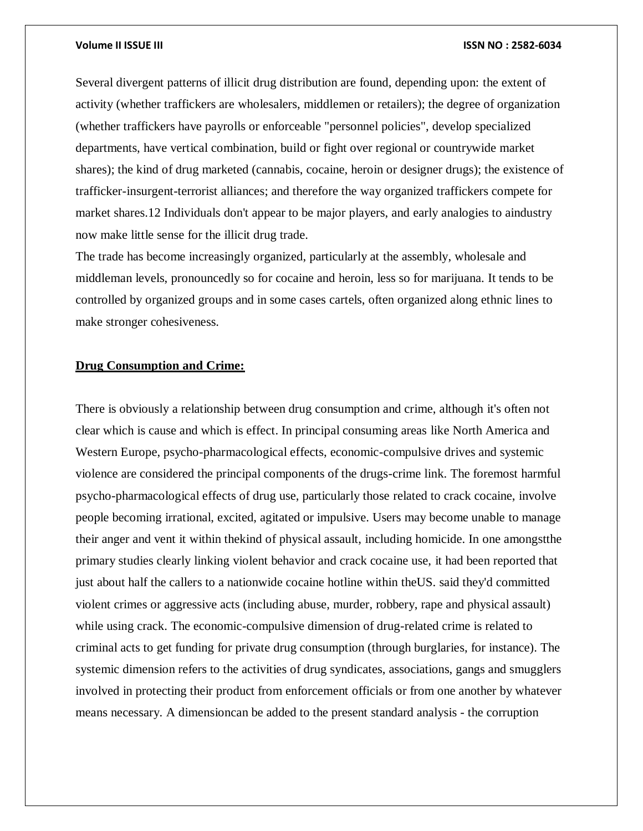Several divergent patterns of illicit drug distribution are found, depending upon: the extent of activity (whether traffickers are wholesalers, middlemen or retailers); the degree of organization (whether traffickers have payrolls or enforceable "personnel policies", develop specialized departments, have vertical combination, build or fight over regional or countrywide market shares); the kind of drug marketed (cannabis, cocaine, heroin or designer drugs); the existence of trafficker-insurgent-terrorist alliances; and therefore the way organized traffickers compete for market shares.12 Individuals don't appear to be major players, and early analogies to aindustry now make little sense for the illicit drug trade.

The trade has become increasingly organized, particularly at the assembly, wholesale and middleman levels, pronouncedly so for cocaine and heroin, less so for marijuana. It tends to be controlled by organized groups and in some cases cartels, often organized along ethnic lines to make stronger cohesiveness.

# **Drug Consumption and Crime:**

There is obviously a relationship between drug consumption and crime, although it's often not clear which is cause and which is effect. In principal consuming areas like North America and Western Europe, psycho-pharmacological effects, economic-compulsive drives and systemic violence are considered the principal components of the drugs-crime link. The foremost harmful psycho-pharmacological effects of drug use, particularly those related to crack cocaine, involve people becoming irrational, excited, agitated or impulsive. Users may become unable to manage their anger and vent it within thekind of physical assault, including homicide. In one amongstthe primary studies clearly linking violent behavior and crack cocaine use, it had been reported that just about half the callers to a nationwide cocaine hotline within theUS. said they'd committed violent crimes or aggressive acts (including abuse, murder, robbery, rape and physical assault) while using crack. The economic-compulsive dimension of drug-related crime is related to criminal acts to get funding for private drug consumption (through burglaries, for instance). The systemic dimension refers to the activities of drug syndicates, associations, gangs and smugglers involved in protecting their product from enforcement officials or from one another by whatever means necessary. A dimensioncan be added to the present standard analysis - the corruption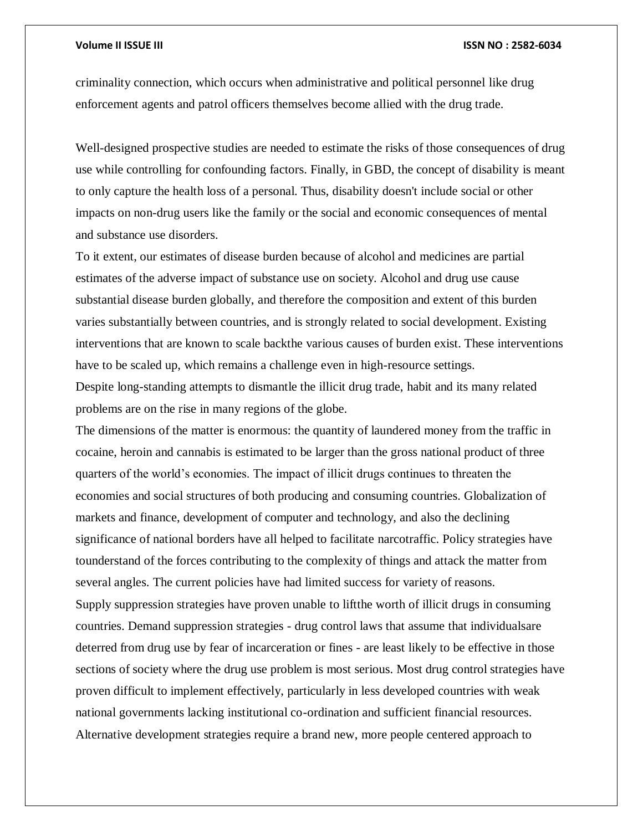criminality connection, which occurs when administrative and political personnel like drug enforcement agents and patrol officers themselves become allied with the drug trade.

Well-designed prospective studies are needed to estimate the risks of those consequences of drug use while controlling for confounding factors. Finally, in GBD, the concept of disability is meant to only capture the health loss of a personal. Thus, disability doesn't include social or other impacts on non-drug users like the family or the social and economic consequences of mental and substance use disorders.

To it extent, our estimates of disease burden because of alcohol and medicines are partial estimates of the adverse impact of substance use on society. Alcohol and drug use cause substantial disease burden globally, and therefore the composition and extent of this burden varies substantially between countries, and is strongly related to social development. Existing interventions that are known to scale backthe various causes of burden exist. These interventions have to be scaled up, which remains a challenge even in high-resource settings.

Despite long-standing attempts to dismantle the illicit drug trade, habit and its many related problems are on the rise in many regions of the globe.

The dimensions of the matter is enormous: the quantity of laundered money from the traffic in cocaine, heroin and cannabis is estimated to be larger than the gross national product of three quarters of the world's economies. The impact of illicit drugs continues to threaten the economies and social structures of both producing and consuming countries. Globalization of markets and finance, development of computer and technology, and also the declining significance of national borders have all helped to facilitate narcotraffic. Policy strategies have tounderstand of the forces contributing to the complexity of things and attack the matter from several angles. The current policies have had limited success for variety of reasons. Supply suppression strategies have proven unable to liftthe worth of illicit drugs in consuming countries. Demand suppression strategies - drug control laws that assume that individualsare deterred from drug use by fear of incarceration or fines - are least likely to be effective in those sections of society where the drug use problem is most serious. Most drug control strategies have proven difficult to implement effectively, particularly in less developed countries with weak national governments lacking institutional co-ordination and sufficient financial resources. Alternative development strategies require a brand new, more people centered approach to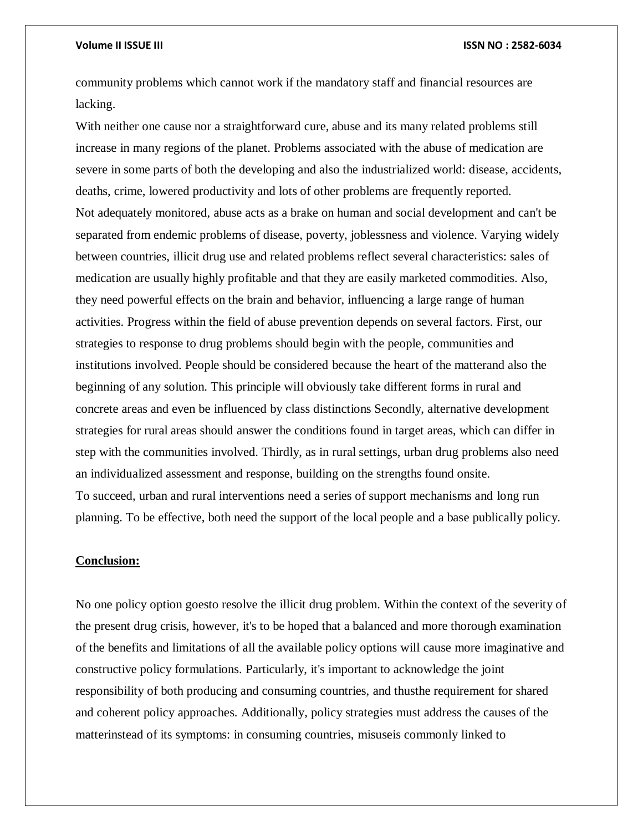community problems which cannot work if the mandatory staff and financial resources are lacking.

With neither one cause nor a straightforward cure, abuse and its many related problems still increase in many regions of the planet. Problems associated with the abuse of medication are severe in some parts of both the developing and also the industrialized world: disease, accidents, deaths, crime, lowered productivity and lots of other problems are frequently reported. Not adequately monitored, abuse acts as a brake on human and social development and can't be separated from endemic problems of disease, poverty, joblessness and violence. Varying widely between countries, illicit drug use and related problems reflect several characteristics: sales of medication are usually highly profitable and that they are easily marketed commodities. Also, they need powerful effects on the brain and behavior, influencing a large range of human activities. Progress within the field of abuse prevention depends on several factors. First, our strategies to response to drug problems should begin with the people, communities and institutions involved. People should be considered because the heart of the matterand also the beginning of any solution. This principle will obviously take different forms in rural and concrete areas and even be influenced by class distinctions Secondly, alternative development strategies for rural areas should answer the conditions found in target areas, which can differ in step with the communities involved. Thirdly, as in rural settings, urban drug problems also need an individualized assessment and response, building on the strengths found onsite. To succeed, urban and rural interventions need a series of support mechanisms and long run planning. To be effective, both need the support of the local people and a base publically policy.

# **Conclusion:**

No one policy option goesto resolve the illicit drug problem. Within the context of the severity of the present drug crisis, however, it's to be hoped that a balanced and more thorough examination of the benefits and limitations of all the available policy options will cause more imaginative and constructive policy formulations. Particularly, it's important to acknowledge the joint responsibility of both producing and consuming countries, and thusthe requirement for shared and coherent policy approaches. Additionally, policy strategies must address the causes of the matterinstead of its symptoms: in consuming countries, misuseis commonly linked to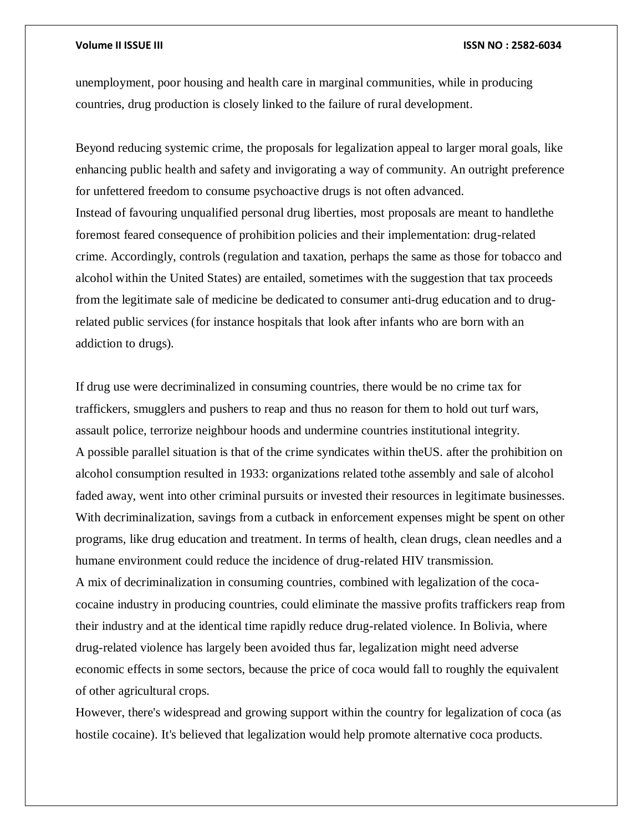of other agricultural crops.

unemployment, poor housing and health care in marginal communities, while in producing countries, drug production is closely linked to the failure of rural development.

Beyond reducing systemic crime, the proposals for legalization appeal to larger moral goals, like enhancing public health and safety and invigorating a way of community. An outright preference for unfettered freedom to consume psychoactive drugs is not often advanced. Instead of favouring unqualified personal drug liberties, most proposals are meant to handlethe foremost feared consequence of prohibition policies and their implementation: drug-related crime. Accordingly, controls (regulation and taxation, perhaps the same as those for tobacco and alcohol within the United States) are entailed, sometimes with the suggestion that tax proceeds from the legitimate sale of medicine be dedicated to consumer anti-drug education and to drugrelated public services (for instance hospitals that look after infants who are born with an addiction to drugs).

If drug use were decriminalized in consuming countries, there would be no crime tax for traffickers, smugglers and pushers to reap and thus no reason for them to hold out turf wars, assault police, terrorize neighbour hoods and undermine countries institutional integrity. A possible parallel situation is that of the crime syndicates within theUS. after the prohibition on alcohol consumption resulted in 1933: organizations related tothe assembly and sale of alcohol faded away, went into other criminal pursuits or invested their resources in legitimate businesses. With decriminalization, savings from a cutback in enforcement expenses might be spent on other programs, like drug education and treatment. In terms of health, clean drugs, clean needles and a humane environment could reduce the incidence of drug-related HIV transmission. A mix of decriminalization in consuming countries, combined with legalization of the cocacocaine industry in producing countries, could eliminate the massive profits traffickers reap from their industry and at the identical time rapidly reduce drug-related violence. In Bolivia, where drug-related violence has largely been avoided thus far, legalization might need adverse economic effects in some sectors, because the price of coca would fall to roughly the equivalent

However, there's widespread and growing support within the country for legalization of coca (as hostile cocaine). It's believed that legalization would help promote alternative coca products.